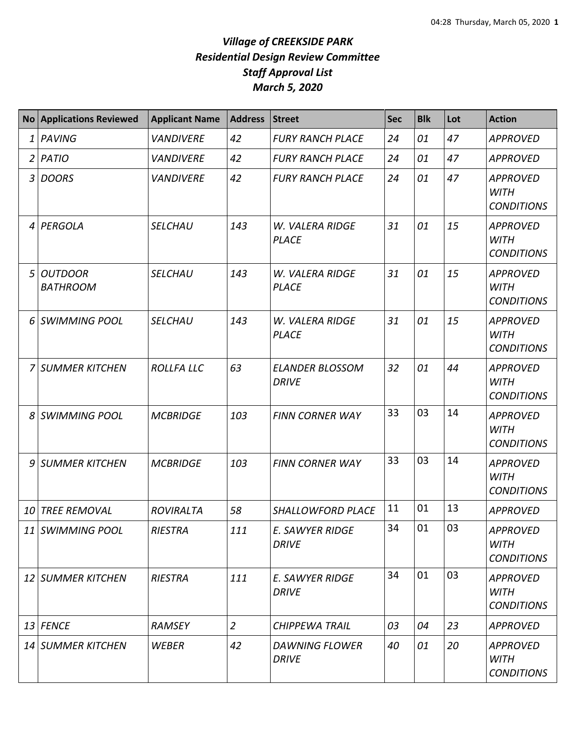|   | No Applications Reviewed          | <b>Applicant Name</b> | <b>Address</b> | <b>Street</b>                          | Sec | <b>Blk</b> | Lot | <b>Action</b>                                       |
|---|-----------------------------------|-----------------------|----------------|----------------------------------------|-----|------------|-----|-----------------------------------------------------|
| 1 | PAVING                            | <b>VANDIVERE</b>      | 42             | <b>FURY RANCH PLACE</b>                | 24  | 01         | 47  | <b>APPROVED</b>                                     |
| 2 | <b>PATIO</b>                      | <b>VANDIVERE</b>      | 42             | <b>FURY RANCH PLACE</b>                | 24  | 01         | 47  | <b>APPROVED</b>                                     |
| 3 | <b>DOORS</b>                      | <b>VANDIVERE</b>      | 42             | <b>FURY RANCH PLACE</b>                | 24  | 01         | 47  | <b>APPROVED</b><br><b>WITH</b><br><b>CONDITIONS</b> |
| 4 | PERGOLA                           | <b>SELCHAU</b>        | 143            | W. VALERA RIDGE<br><b>PLACE</b>        | 31  | 01         | 15  | <b>APPROVED</b><br><b>WITH</b><br><b>CONDITIONS</b> |
| 5 | <b>OUTDOOR</b><br><b>BATHROOM</b> | <b>SELCHAU</b>        | 143            | W. VALERA RIDGE<br><b>PLACE</b>        | 31  | 01         | 15  | <b>APPROVED</b><br><b>WITH</b><br><b>CONDITIONS</b> |
|   | 6 SWIMMING POOL                   | <b>SELCHAU</b>        | 143            | W. VALERA RIDGE<br><b>PLACE</b>        | 31  | 01         | 15  | <b>APPROVED</b><br><b>WITH</b><br><b>CONDITIONS</b> |
| 7 | <b>SUMMER KITCHEN</b>             | <b>ROLLFA LLC</b>     | 63             | <b>ELANDER BLOSSOM</b><br><b>DRIVE</b> | 32  | 01         | 44  | <b>APPROVED</b><br><b>WITH</b><br><b>CONDITIONS</b> |
| 8 | <b>SWIMMING POOL</b>              | <b>MCBRIDGE</b>       | 103            | <b>FINN CORNER WAY</b>                 | 33  | 03         | 14  | <b>APPROVED</b><br><b>WITH</b><br><b>CONDITIONS</b> |
| 9 | SUMMER KITCHEN                    | <b>MCBRIDGE</b>       | 103            | <b>FINN CORNER WAY</b>                 | 33  | 03         | 14  | <b>APPROVED</b><br><b>WITH</b><br><b>CONDITIONS</b> |
|   | 10 TREE REMOVAL                   | <b>ROVIRALTA</b>      | 58             | SHALLOWFORD PLACE                      | 11  | 01         | 13  | <b>APPROVED</b>                                     |
|   | 11 SWIMMING POOL                  | <b>RIESTRA</b>        | 111            | E. SAWYER RIDGE<br><b>DRIVE</b>        | 34  | 01         | 03  | <b>APPROVED</b><br><b>WITH</b><br><b>CONDITIONS</b> |
|   | 12 SUMMER KITCHEN                 | <b>RIESTRA</b>        | 111            | E. SAWYER RIDGE<br>DRIVE               | 34  | 01         | 03  | <b>APPROVED</b><br><b>WITH</b><br><b>CONDITIONS</b> |
|   | 13 FENCE                          | <b>RAMSEY</b>         | $\overline{2}$ | CHIPPEWA TRAIL                         | 03  | 04         | 23  | <b>APPROVED</b>                                     |
|   | 14 SUMMER KITCHEN                 | WEBER                 | 42             | <b>DAWNING FLOWER</b><br><b>DRIVE</b>  | 40  | 01         | 20  | <b>APPROVED</b><br><b>WITH</b><br><b>CONDITIONS</b> |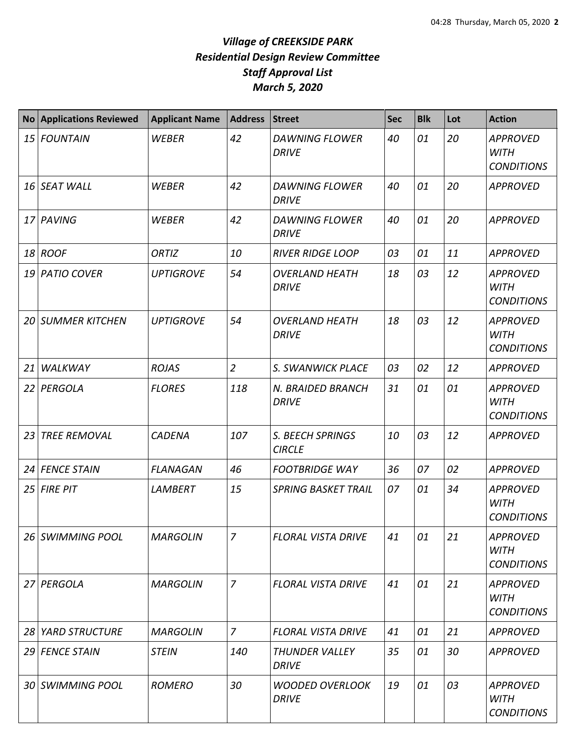|                 | <b>No Applications Reviewed</b> | <b>Applicant Name</b> | <b>Address</b> | <b>Street</b>                          | <b>Sec</b> | <b>Blk</b> | Lot | <b>Action</b>                                       |
|-----------------|---------------------------------|-----------------------|----------------|----------------------------------------|------------|------------|-----|-----------------------------------------------------|
| 15 <sub>l</sub> | <b>FOUNTAIN</b>                 | <b>WEBER</b>          | 42             | <b>DAWNING FLOWER</b><br><b>DRIVE</b>  | 40         | 01         | 20  | <b>APPROVED</b><br><b>WITH</b><br><b>CONDITIONS</b> |
|                 | 16 SEAT WALL                    | WEBER                 | 42             | <b>DAWNING FLOWER</b><br><b>DRIVE</b>  | 40         | 01         | 20  | <b>APPROVED</b>                                     |
|                 | 17 PAVING                       | <b>WEBER</b>          | 42             | <b>DAWNING FLOWER</b><br><b>DRIVE</b>  | 40         | 01         | 20  | <b>APPROVED</b>                                     |
|                 | 18 ROOF                         | ORTIZ                 | 10             | <b>RIVER RIDGE LOOP</b>                | 03         | 01         | 11  | <b>APPROVED</b>                                     |
|                 | 19 PATIO COVER                  | <b>UPTIGROVE</b>      | 54             | <b>OVERLAND HEATH</b><br><b>DRIVE</b>  | 18         | 03         | 12  | <b>APPROVED</b><br><b>WITH</b><br><b>CONDITIONS</b> |
|                 | <b>20 SUMMER KITCHEN</b>        | <b>UPTIGROVE</b>      | 54             | <b>OVERLAND HEATH</b><br><b>DRIVE</b>  | 18         | 03         | 12  | <b>APPROVED</b><br><b>WITH</b><br><b>CONDITIONS</b> |
| 21              | WALKWAY                         | <b>ROJAS</b>          | $\overline{2}$ | S. SWANWICK PLACE                      | 03         | 02         | 12  | <b>APPROVED</b>                                     |
|                 | 22 PERGOLA                      | <b>FLORES</b>         | 118            | N. BRAIDED BRANCH<br><b>DRIVE</b>      | 31         | 01         | 01  | <b>APPROVED</b><br><b>WITH</b><br><b>CONDITIONS</b> |
| 23              | <b>TREE REMOVAL</b>             | <b>CADENA</b>         | 107            | S. BEECH SPRINGS<br><b>CIRCLE</b>      | 10         | 03         | 12  | <b>APPROVED</b>                                     |
| 24              | <b>FENCE STAIN</b>              | <b>FLANAGAN</b>       | 46             | <b>FOOTBRIDGE WAY</b>                  | 36         | 07         | 02  | <b>APPROVED</b>                                     |
| 25              | <b>FIRE PIT</b>                 | <b>LAMBERT</b>        | 15             | <b>SPRING BASKET TRAIL</b>             | 07         | 01         | 34  | <b>APPROVED</b><br><b>WITH</b><br><b>CONDITIONS</b> |
|                 | 26 SWIMMING POOL                | <b>MARGOLIN</b>       | 7              | <b>FLORAL VISTA DRIVE</b>              | 41         | 01         | 21  | <b>APPROVED</b><br><b>WITH</b><br><b>CONDITIONS</b> |
| 27              | PERGOLA                         | <b>MARGOLIN</b>       | $\overline{7}$ | <b>FLORAL VISTA DRIVE</b>              | 41         | 01         | 21  | <b>APPROVED</b><br><b>WITH</b><br><b>CONDITIONS</b> |
| 28              | <b>YARD STRUCTURE</b>           | <b>MARGOLIN</b>       | $\overline{7}$ | <b>FLORAL VISTA DRIVE</b>              | 41         | 01         | 21  | <b>APPROVED</b>                                     |
|                 | 29 FENCE STAIN                  | <b>STEIN</b>          | 140            | <b>THUNDER VALLEY</b><br><b>DRIVE</b>  | 35         | 01         | 30  | <b>APPROVED</b>                                     |
|                 | 30 SWIMMING POOL                | <b>ROMERO</b>         | 30             | <b>WOODED OVERLOOK</b><br><b>DRIVE</b> | 19         | 01         | 03  | <b>APPROVED</b><br><b>WITH</b><br><b>CONDITIONS</b> |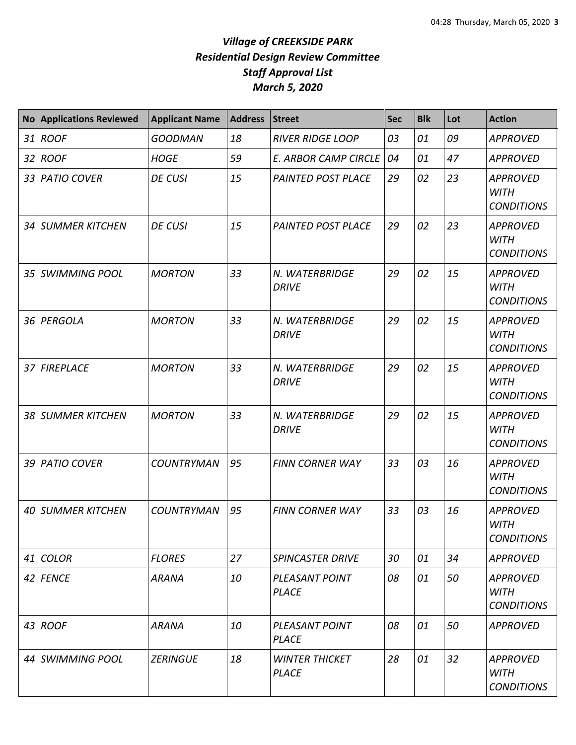| <b>No</b>       | <b>Applications Reviewed</b> | <b>Applicant Name</b> | <b>Address</b> | <b>Street</b>                         | Sec | <b>Blk</b> | Lot | <b>Action</b>                                       |
|-----------------|------------------------------|-----------------------|----------------|---------------------------------------|-----|------------|-----|-----------------------------------------------------|
| 31              | <b>ROOF</b>                  | <b>GOODMAN</b>        | 18             | <b>RIVER RIDGE LOOP</b>               | 03  | 01         | 09  | <b>APPROVED</b>                                     |
| 32              | <b>ROOF</b>                  | <b>HOGE</b>           | 59             | <b>E. ARBOR CAMP CIRCLE</b>           | 04  | 01         | 47  | <b>APPROVED</b>                                     |
| 33              | <b>PATIO COVER</b>           | <b>DE CUSI</b>        | 15             | <b>PAINTED POST PLACE</b>             | 29  | 02         | 23  | <b>APPROVED</b><br><b>WITH</b><br><b>CONDITIONS</b> |
| 34 <sup>l</sup> | <b>SUMMER KITCHEN</b>        | <b>DE CUSI</b>        | 15             | <b>PAINTED POST PLACE</b>             | 29  | 02         | 23  | <b>APPROVED</b><br><b>WITH</b><br><b>CONDITIONS</b> |
| 35 <sub>1</sub> | <b>SWIMMING POOL</b>         | <b>MORTON</b>         | 33             | N. WATERBRIDGE<br><b>DRIVE</b>        | 29  | 02         | 15  | <b>APPROVED</b><br><b>WITH</b><br><b>CONDITIONS</b> |
|                 | 36 PERGOLA                   | <b>MORTON</b>         | 33             | N. WATERBRIDGE<br><b>DRIVE</b>        | 29  | 02         | 15  | <b>APPROVED</b><br><b>WITH</b><br><b>CONDITIONS</b> |
|                 | 37 FIREPLACE                 | <b>MORTON</b>         | 33             | N. WATERBRIDGE<br><b>DRIVE</b>        | 29  | 02         | 15  | <b>APPROVED</b><br><b>WITH</b><br><b>CONDITIONS</b> |
|                 | 38 SUMMER KITCHEN            | <b>MORTON</b>         | 33             | N. WATERBRIDGE<br><b>DRIVE</b>        | 29  | 02         | 15  | <b>APPROVED</b><br><b>WITH</b><br><b>CONDITIONS</b> |
| 39 I            | <b>PATIO COVER</b>           | <b>COUNTRYMAN</b>     | 95             | <b>FINN CORNER WAY</b>                | 33  | 03         | 16  | <b>APPROVED</b><br><b>WITH</b><br><b>CONDITIONS</b> |
| 40              | <b>SUMMER KITCHEN</b>        | <b>COUNTRYMAN</b>     | 95             | <b>FINN CORNER WAY</b>                | 33  | 03         | 16  | <b>APPROVED</b><br><b>WITH</b><br><b>CONDITIONS</b> |
|                 | 41 COLOR                     | <b>FLORES</b>         | 27             | <b>SPINCASTER DRIVE</b>               | 30  | 01         | 34  | <b>APPROVED</b>                                     |
|                 | 42 FENCE                     | <b>ARANA</b>          | 10             | PLEASANT POINT<br><b>PLACE</b>        | 08  | 01         | 50  | <b>APPROVED</b><br><b>WITH</b><br><b>CONDITIONS</b> |
|                 | $43$ ROOF                    | <b>ARANA</b>          | 10             | PLEASANT POINT<br><b>PLACE</b>        | 08  | 01         | 50  | <b>APPROVED</b>                                     |
|                 | 44 SWIMMING POOL             | <b>ZERINGUE</b>       | 18             | <b>WINTER THICKET</b><br><b>PLACE</b> | 28  | 01         | 32  | <b>APPROVED</b><br><b>WITH</b><br><b>CONDITIONS</b> |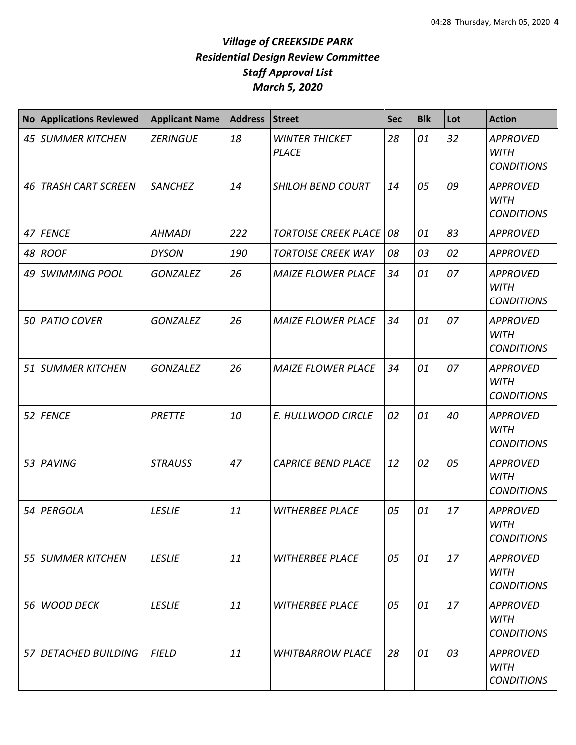| No <sub>1</sub> | <b>Applications Reviewed</b> | <b>Applicant Name</b> | <b>Address</b> | <b>Street</b>                         | <b>Sec</b> | <b>Blk</b> | Lot | <b>Action</b>                                       |
|-----------------|------------------------------|-----------------------|----------------|---------------------------------------|------------|------------|-----|-----------------------------------------------------|
|                 | 45 SUMMER KITCHEN            | <b>ZERINGUE</b>       | 18             | <b>WINTER THICKET</b><br><b>PLACE</b> | 28         | 01         | 32  | <b>APPROVED</b><br><b>WITH</b><br><b>CONDITIONS</b> |
| 46              | <b>TRASH CART SCREEN</b>     | <b>SANCHEZ</b>        | 14             | <b>SHILOH BEND COURT</b>              | 14         | 05         | 09  | <b>APPROVED</b><br><b>WITH</b><br><b>CONDITIONS</b> |
|                 | 47 FENCE                     | <b>AHMADI</b>         | 222            | <b>TORTOISE CREEK PLACE</b>           | 08         | 01         | 83  | <b>APPROVED</b>                                     |
|                 | 48 ROOF                      | <b>DYSON</b>          | 190            | <b>TORTOISE CREEK WAY</b>             | 08         | 03         | 02  | <b>APPROVED</b>                                     |
|                 | 49 SWIMMING POOL             | <b>GONZALEZ</b>       | 26             | <b>MAIZE FLOWER PLACE</b>             | 34         | 01         | 07  | <b>APPROVED</b><br><b>WITH</b><br><b>CONDITIONS</b> |
|                 | 50 PATIO COVER               | <b>GONZALEZ</b>       | 26             | <b>MAIZE FLOWER PLACE</b>             | 34         | 01         | 07  | <b>APPROVED</b><br><b>WITH</b><br><b>CONDITIONS</b> |
|                 | 51 SUMMER KITCHEN            | <b>GONZALEZ</b>       | 26             | <b>MAIZE FLOWER PLACE</b>             | 34         | 01         | 07  | <b>APPROVED</b><br><b>WITH</b><br><b>CONDITIONS</b> |
|                 | 52 FENCE                     | PRETTE                | 10             | E. HULLWOOD CIRCLE                    | 02         | 01         | 40  | <b>APPROVED</b><br><b>WITH</b><br><b>CONDITIONS</b> |
|                 | 53 PAVING                    | <b>STRAUSS</b>        | 47             | <b>CAPRICE BEND PLACE</b>             | 12         | 02         | 05  | <b>APPROVED</b><br><b>WITH</b><br><b>CONDITIONS</b> |
|                 | 54 PERGOLA                   | <b>LESLIE</b>         | 11             | <b>WITHERBEE PLACE</b>                | 05         | 01         | 17  | <b>APPROVED</b><br><b>WITH</b><br><b>CONDITIONS</b> |
|                 | 55 SUMMER KITCHEN            | <b>LESLIE</b>         | 11             | <b>WITHERBEE PLACE</b>                | 05         | 01         | 17  | <b>APPROVED</b><br><b>WITH</b><br><b>CONDITIONS</b> |
| 56 I            | <b>WOOD DECK</b>             | <b>LESLIE</b>         | 11             | <b>WITHERBEE PLACE</b>                | 05         | 01         | 17  | <b>APPROVED</b><br><b>WITH</b><br><b>CONDITIONS</b> |
|                 | 57 DETACHED BUILDING         | <b>FIELD</b>          | 11             | <b>WHITBARROW PLACE</b>               | 28         | 01         | 03  | <b>APPROVED</b><br><b>WITH</b><br><b>CONDITIONS</b> |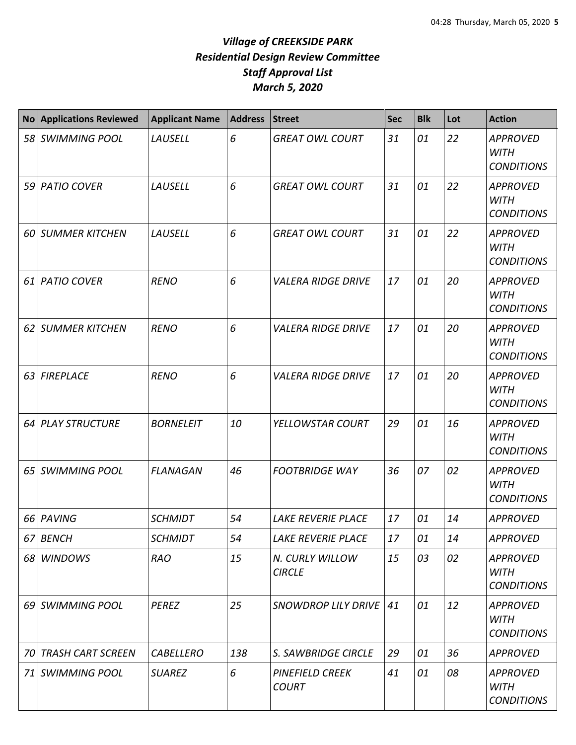|    | No Applications Reviewed | <b>Applicant Name</b> | Address | <b>Street</b>                    | <b>Sec</b> | <b>Blk</b> | Lot | <b>Action</b>                                       |
|----|--------------------------|-----------------------|---------|----------------------------------|------------|------------|-----|-----------------------------------------------------|
| 58 | SWIMMING POOL            | LAUSELL               | 6       | <b>GREAT OWL COURT</b>           | 31         | 01         | 22  | <b>APPROVED</b><br><b>WITH</b><br><b>CONDITIONS</b> |
|    | 59 PATIO COVER           | LAUSELL               | 6       | <b>GREAT OWL COURT</b>           | 31         | 01         | 22  | <b>APPROVED</b><br><b>WITH</b><br><b>CONDITIONS</b> |
|    | 60 SUMMER KITCHEN        | <b>LAUSELL</b>        | 6       | <b>GREAT OWL COURT</b>           | 31         | 01         | 22  | <b>APPROVED</b><br><b>WITH</b><br><b>CONDITIONS</b> |
| 61 | <b>PATIO COVER</b>       | <b>RENO</b>           | 6       | <b>VALERA RIDGE DRIVE</b>        | 17         | 01         | 20  | <b>APPROVED</b><br><b>WITH</b><br><b>CONDITIONS</b> |
| 62 | <b>SUMMER KITCHEN</b>    | <b>RENO</b>           | 6       | <b>VALERA RIDGE DRIVE</b>        | 17         | 01         | 20  | <b>APPROVED</b><br><b>WITH</b><br><b>CONDITIONS</b> |
| 63 | <b>FIREPLACE</b>         | <b>RENO</b>           | 6       | <b>VALERA RIDGE DRIVE</b>        | 17         | 01         | 20  | <b>APPROVED</b><br><b>WITH</b><br><b>CONDITIONS</b> |
|    | 64 PLAY STRUCTURE        | <b>BORNELEIT</b>      | 10      | YELLOWSTAR COURT                 | 29         | 01         | 16  | <b>APPROVED</b><br><b>WITH</b><br><b>CONDITIONS</b> |
| 65 | <b>SWIMMING POOL</b>     | <b>FLANAGAN</b>       | 46      | <b>FOOTBRIDGE WAY</b>            | 36         | 07         | 02  | <b>APPROVED</b><br><b>WITH</b><br><b>CONDITIONS</b> |
| 66 | PAVING                   | <b>SCHMIDT</b>        | 54      | <b>LAKE REVERIE PLACE</b>        | 17         | 01         | 14  | <b>APPROVED</b>                                     |
| 67 | <b>BENCH</b>             | <b>SCHMIDT</b>        | 54      | LAKE REVERIE PLACE               | 17         | 01         | 14  | <b>APPROVED</b>                                     |
|    | 68 WINDOWS               | <b>RAO</b>            | 15      | N. CURLY WILLOW<br><b>CIRCLE</b> | 15         | 03         | 02  | <b>APPROVED</b><br><b>WITH</b><br><b>CONDITIONS</b> |
|    | 69 SWIMMING POOL         | <b>PEREZ</b>          | 25      | SNOWDROP LILY DRIVE              | 41         | 01         | 12  | <b>APPROVED</b><br><b>WITH</b><br><b>CONDITIONS</b> |
| 70 | <b>TRASH CART SCREEN</b> | <b>CABELLERO</b>      | 138     | S. SAWBRIDGE CIRCLE              | 29         | 01         | 36  | <b>APPROVED</b>                                     |
|    | 71 SWIMMING POOL         | <b>SUAREZ</b>         | 6       | PINEFIELD CREEK<br><b>COURT</b>  | 41         | 01         | 08  | <b>APPROVED</b><br><b>WITH</b><br><b>CONDITIONS</b> |